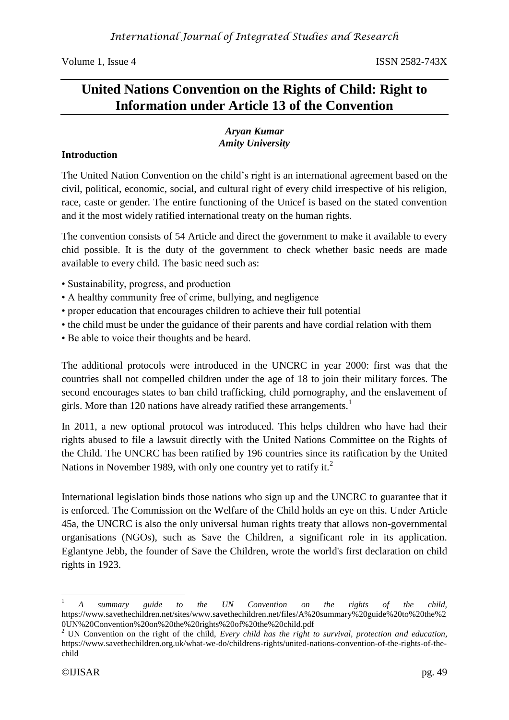Volume 1, Issue 4 ISSN 2582-743X

# **United Nations Convention on the Rights of Child: Right to Information under Article 13 of the Convention**

### *Aryan Kumar Amity University*

# **Introduction**

The United Nation Convention on the child's right is an international agreement based on the civil, political, economic, social, and cultural right of every child irrespective of his religion, race, caste or gender. The entire functioning of the Unicef is based on the stated convention and it the most widely ratified international treaty on the human rights.

The convention consists of 54 Article and direct the government to make it available to every chid possible. It is the duty of the government to check whether basic needs are made available to every child. The basic need such as:

- Sustainability, progress, and production
- A healthy community free of crime, bullying, and negligence
- proper education that encourages children to achieve their full potential
- the child must be under the guidance of their parents and have cordial relation with them
- Be able to voice their thoughts and be heard.

The additional protocols were introduced in the UNCRC in year 2000: first was that the countries shall not compelled children under the age of 18 to join their military forces. The second encourages states to ban child trafficking, child pornography, and the enslavement of girls. More than 120 nations have already ratified these arrangements.<sup>1</sup>

In 2011, a new optional protocol was introduced. This helps children who have had their rights abused to file a lawsuit directly with the United Nations Committee on the Rights of the Child. The UNCRC has been ratified by 196 countries since its ratification by the United Nations in November 1989, with only one country yet to ratify it.<sup>2</sup>

International legislation binds those nations who sign up and the UNCRC to guarantee that it is enforced. The Commission on the Welfare of the Child holds an eye on this. Under Article 45a, the UNCRC is also the only universal human rights treaty that allows non-governmental organisations (NGOs), such as Save the Children, a significant role in its application. Eglantyne Jebb, the founder of Save the Children, wrote the world's first declaration on child rights in 1923.

1

<sup>1</sup> *A summary guide to the UN Convention on the rights of the child,* https://www.savethechildren.net/sites/www.savethechildren.net/files/A%20summary%20guide%20to%20the%2 0UN%20Convention%20on%20the%20rights%20of%20the%20child.pdf

<sup>2</sup> UN Convention on the right of the child, *Every child has the right to survival, protection and education,* https://www.savethechildren.org.uk/what-we-do/childrens-rights/united-nations-convention-of-the-rights-of-thechild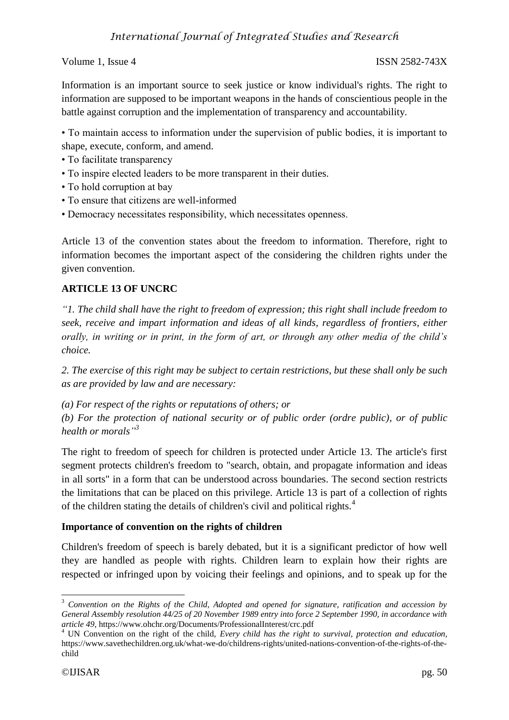Volume 1, Issue 4 ISSN 2582-743X

Information is an important source to seek justice or know individual's rights. The right to information are supposed to be important weapons in the hands of conscientious people in the battle against corruption and the implementation of transparency and accountability.

• To maintain access to information under the supervision of public bodies, it is important to shape, execute, conform, and amend.

- To facilitate transparency
- To inspire elected leaders to be more transparent in their duties.
- To hold corruption at bay
- To ensure that citizens are well-informed
- Democracy necessitates responsibility, which necessitates openness.

Article 13 of the convention states about the freedom to information. Therefore, right to information becomes the important aspect of the considering the children rights under the given convention.

## **ARTICLE 13 OF UNCRC**

*"1. The child shall have the right to freedom of expression; this right shall include freedom to seek, receive and impart information and ideas of all kinds, regardless of frontiers, either orally, in writing or in print, in the form of art, or through any other media of the child's choice.*

*2. The exercise of this right may be subject to certain restrictions, but these shall only be such as are provided by law and are necessary:*

*(a) For respect of the rights or reputations of others; or*

*(b) For the protection of national security or of public order (ordre public), or of public health or morals" 3*

The right to freedom of speech for children is protected under Article 13. The article's first segment protects children's freedom to "search, obtain, and propagate information and ideas in all sorts" in a form that can be understood across boundaries. The second section restricts the limitations that can be placed on this privilege. Article 13 is part of a collection of rights of the children stating the details of children's civil and political rights.<sup>4</sup>

### **Importance of convention on the rights of children**

Children's freedom of speech is barely debated, but it is a significant predictor of how well they are handled as people with rights. Children learn to explain how their rights are respected or infringed upon by voicing their feelings and opinions, and to speak up for the

1

<sup>3</sup> *Convention on the Rights of the Child, Adopted and opened for signature, ratification and accession by General Assembly resolution 44/25 of 20 November 1989 entry into force 2 September 1990, in accordance with article 49*, https://www.ohchr.org/Documents/ProfessionalInterest/crc.pdf

<sup>4</sup> UN Convention on the right of the child, *Every child has the right to survival, protection and education,* https://www.savethechildren.org.uk/what-we-do/childrens-rights/united-nations-convention-of-the-rights-of-thechild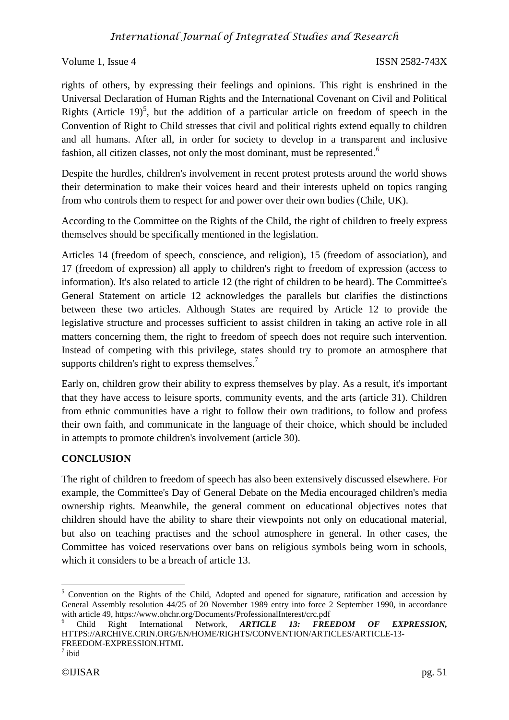# *International Journal of Integrated Studies and Research*

#### Volume 1, Issue 4 ISSN 2582-743X

rights of others, by expressing their feelings and opinions. This right is enshrined in the Universal Declaration of Human Rights and the International Covenant on Civil and Political Rights (Article 19)<sup>5</sup>, but the addition of a particular article on freedom of speech in the Convention of Right to Child stresses that civil and political rights extend equally to children and all humans. After all, in order for society to develop in a transparent and inclusive fashion, all citizen classes, not only the most dominant, must be represented.<sup>6</sup>

Despite the hurdles, children's involvement in recent protest protests around the world shows their determination to make their voices heard and their interests upheld on topics ranging from who controls them to respect for and power over their own bodies (Chile, UK).

According to the Committee on the Rights of the Child, the right of children to freely express themselves should be specifically mentioned in the legislation.

Articles 14 (freedom of speech, conscience, and religion), 15 (freedom of association), and 17 (freedom of expression) all apply to children's right to freedom of expression (access to information). It's also related to article 12 (the right of children to be heard). The Committee's General Statement on article 12 acknowledges the parallels but clarifies the distinctions between these two articles. Although States are required by Article 12 to provide the legislative structure and processes sufficient to assist children in taking an active role in all matters concerning them, the right to freedom of speech does not require such intervention. Instead of competing with this privilege, states should try to promote an atmosphere that supports children's right to express themselves.<sup>7</sup>

Early on, children grow their ability to express themselves by play. As a result, it's important that they have access to leisure sports, community events, and the arts (article 31). Children from ethnic communities have a right to follow their own traditions, to follow and profess their own faith, and communicate in the language of their choice, which should be included in attempts to promote children's involvement (article 30).

### **CONCLUSION**

The right of children to freedom of speech has also been extensively discussed elsewhere. For example, the Committee's Day of General Debate on the Media encouraged children's media ownership rights. Meanwhile, the general comment on educational objectives notes that children should have the ability to share their viewpoints not only on educational material, but also on teaching practises and the school atmosphere in general. In other cases, the Committee has voiced reservations over bans on religious symbols being worn in schools, which it considers to be a breach of article 13.

**.** 

<sup>&</sup>lt;sup>5</sup> Convention on the Rights of the Child, Adopted and opened for signature, ratification and accession by General Assembly resolution 44/25 of 20 November 1989 entry into force 2 September 1990, in accordance with article 49, https://www.ohchr.org/Documents/ProfessionalInterest/crc.pdf<br>
6 Child Right International Network, **ARTICLE 13: FREI** 

<sup>6</sup> Child Right International Network, *ARTICLE 13: FREEDOM OF EXPRESSION,*  HTTPS://ARCHIVE.CRIN.ORG/EN/HOME/RIGHTS/CONVENTION/ARTICLES/ARTICLE-13- FREEDOM-EXPRESSION.HTML